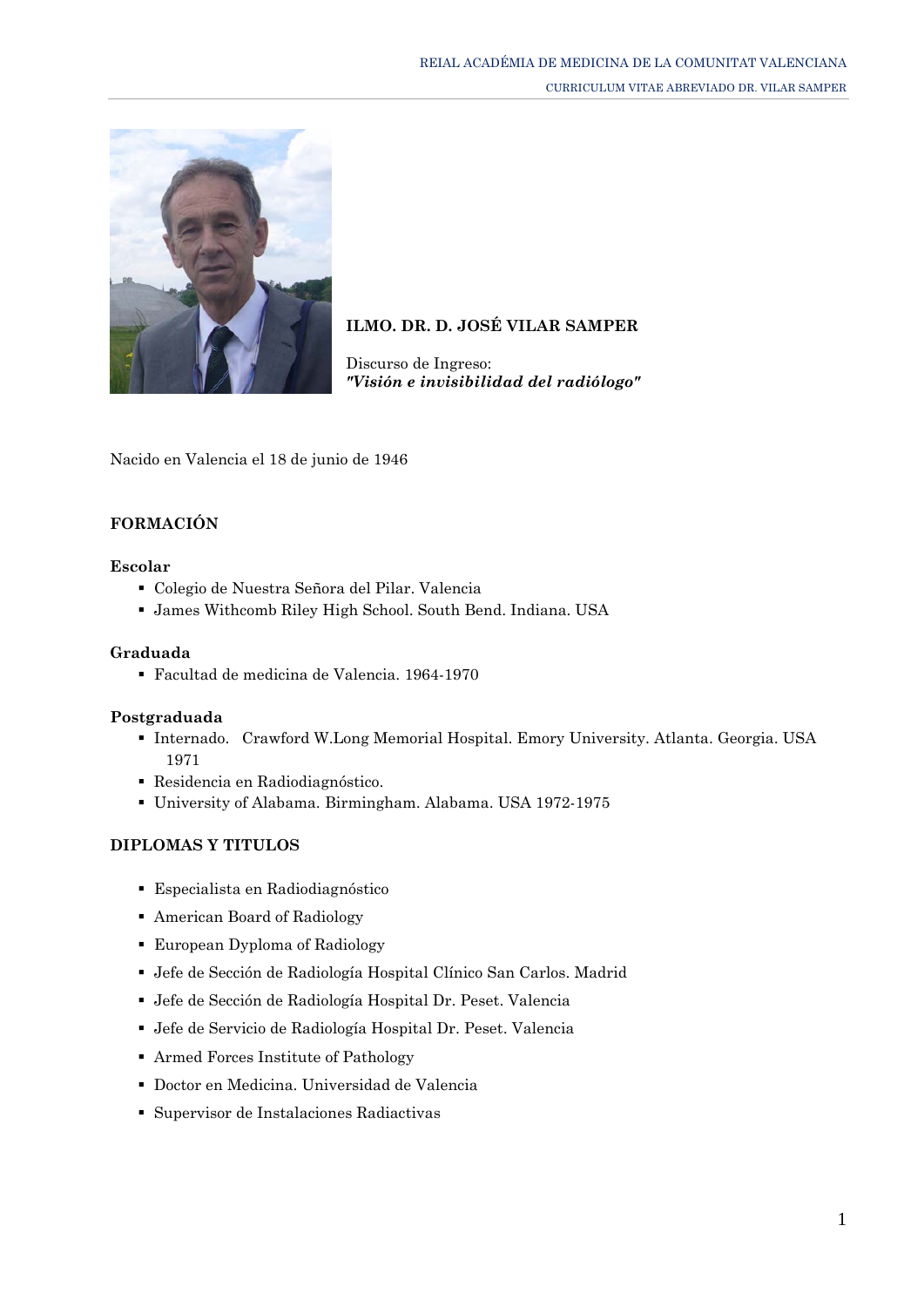

# **ILMO. DR. D. JOSÉ VILAR SAMPER**

Discurso de Ingreso: *["Visión e invisibilidad del radiólogo"](http://www.ramcv.com/Discursos/Dr.%20Vilar.pdf)*

Nacido en Valencia el 18 de junio de 1946

## **FORMACIÓN**

#### **Escolar**

- Colegio de Nuestra Señora del Pilar. Valencia
- James Withcomb Riley High School. South Bend. Indiana. USA

#### **Graduada**

Facultad de medicina de Valencia. 1964-1970

#### **Postgraduada**

- Internado. Crawford W.Long Memorial Hospital. Emory University. Atlanta. Georgia. USA 1971
- Residencia en Radiodiagnóstico.
- University of Alabama. Birmingham. Alabama. USA 1972-1975

#### **DIPLOMAS Y TITULOS**

- Especialista en Radiodiagnóstico
- American Board of Radiology
- European Dyploma of Radiology
- Jefe de Sección de Radiología Hospital Clínico San Carlos. Madrid
- Jefe de Sección de Radiología Hospital Dr. Peset. Valencia
- Jefe de Servicio de Radiología Hospital Dr. Peset. Valencia
- Armed Forces Institute of Pathology
- Doctor en Medicina. Universidad de Valencia
- Supervisor de Instalaciones Radiactivas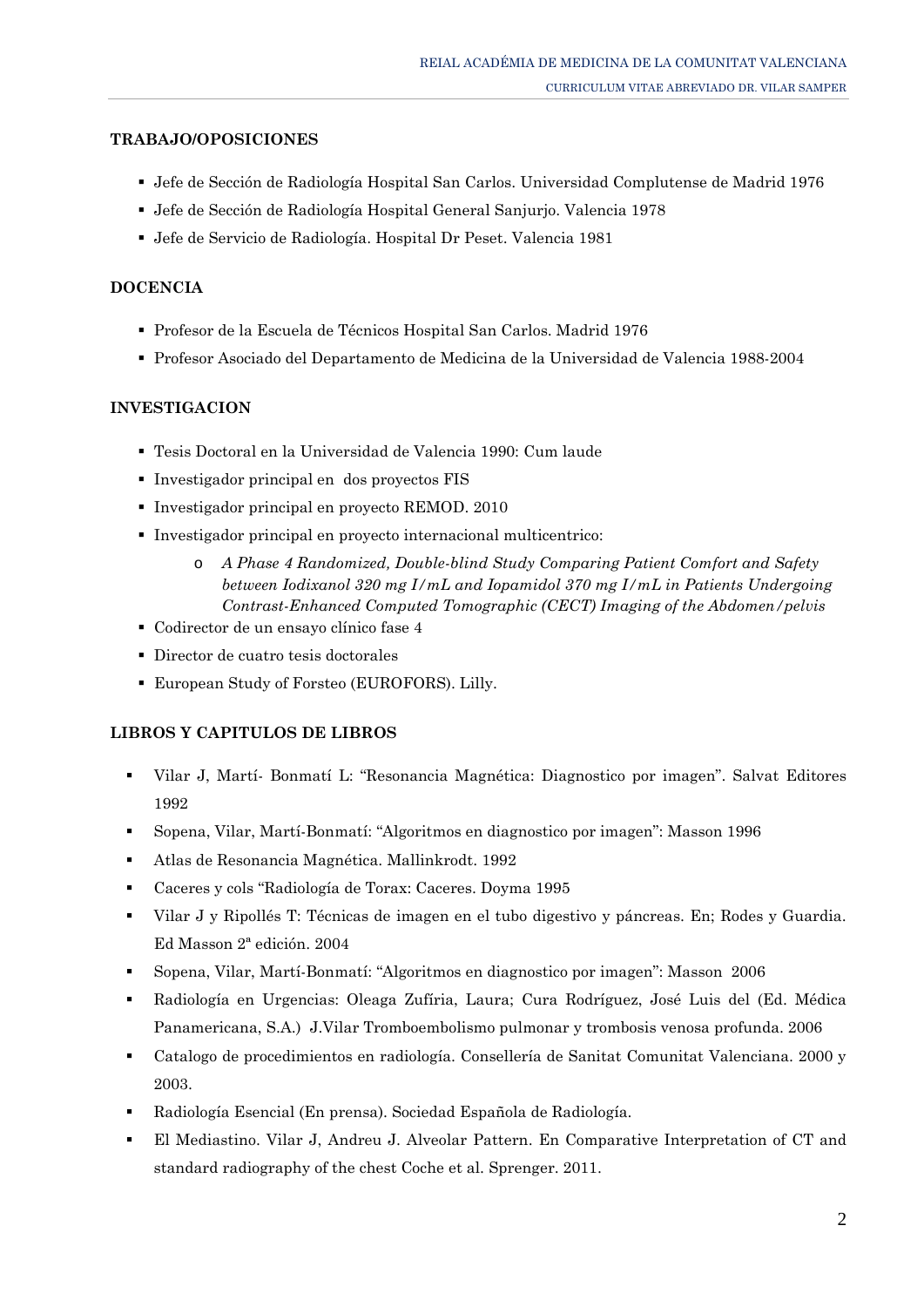### **TRABAJO/OPOSICIONES**

- Jefe de Sección de Radiología Hospital San Carlos. Universidad Complutense de Madrid 1976
- Jefe de Sección de Radiología Hospital General Sanjurjo. Valencia 1978
- Jefe de Servicio de Radiología. Hospital Dr Peset. Valencia 1981

### **DOCENCIA**

- Profesor de la Escuela de Técnicos Hospital San Carlos. Madrid 1976
- Profesor Asociado del Departamento de Medicina de la Universidad de Valencia 1988-2004

#### **INVESTIGACION**

- Tesis Doctoral en la Universidad de Valencia 1990: Cum laude
- Investigador principal en dos proyectos FIS
- Investigador principal en proyecto REMOD. 2010
- Investigador principal en proyecto internacional multicentrico:
	- o *A Phase 4 Randomized, Double-blind Study Comparing Patient Comfort and Safety between Iodixanol 320 mg I/mL and Iopamidol 370 mg I/mL in Patients Undergoing Contrast-Enhanced Computed Tomographic (CECT) Imaging of the Abdomen/pelvis*
- Codirector de un ensayo clínico fase 4
- Director de cuatro tesis doctorales
- European Study of Forsteo (EUROFORS). Lilly.

#### **LIBROS Y CAPITULOS DE LIBROS**

- Vilar J, Martí- Bonmatí L: "Resonancia Magnética: Diagnostico por imagen". Salvat Editores 1992
- Sopena, Vilar, Martí-Bonmatí: "Algoritmos en diagnostico por imagen": Masson 1996
- Atlas de Resonancia Magnética. Mallinkrodt. 1992
- Caceres y cols "Radiología de Torax: Caceres. Doyma 1995
- Vilar J y Ripollés T: Técnicas de imagen en el tubo digestivo y páncreas. En; Rodes y Guardia. Ed Masson 2ª edición. 2004
- Sopena, Vilar, Martí-Bonmatí: "Algoritmos en diagnostico por imagen": Masson 2006
- Radiología en Urgencias: Oleaga Zufíria, Laura; Cura Rodríguez, José Luis del (Ed. Médica Panamericana, S.A.) J.Vilar Tromboembolismo pulmonar y trombosis venosa profunda. 2006
- Catalogo de procedimientos en radiología. Consellería de Sanitat Comunitat Valenciana. 2000 y 2003.
- Radiología Esencial (En prensa). Sociedad Española de Radiología.
- El Mediastino. Vilar J, Andreu J. Alveolar Pattern. En Comparative Interpretation of CT and standard radiography of the chest [Coche et al. Sprenger. 2011.](http://www.diazdesantos.es/libros/buscador/index_avanzado.php?cod_autor=483508&autor=Coche,%20Emmanuel%20E.)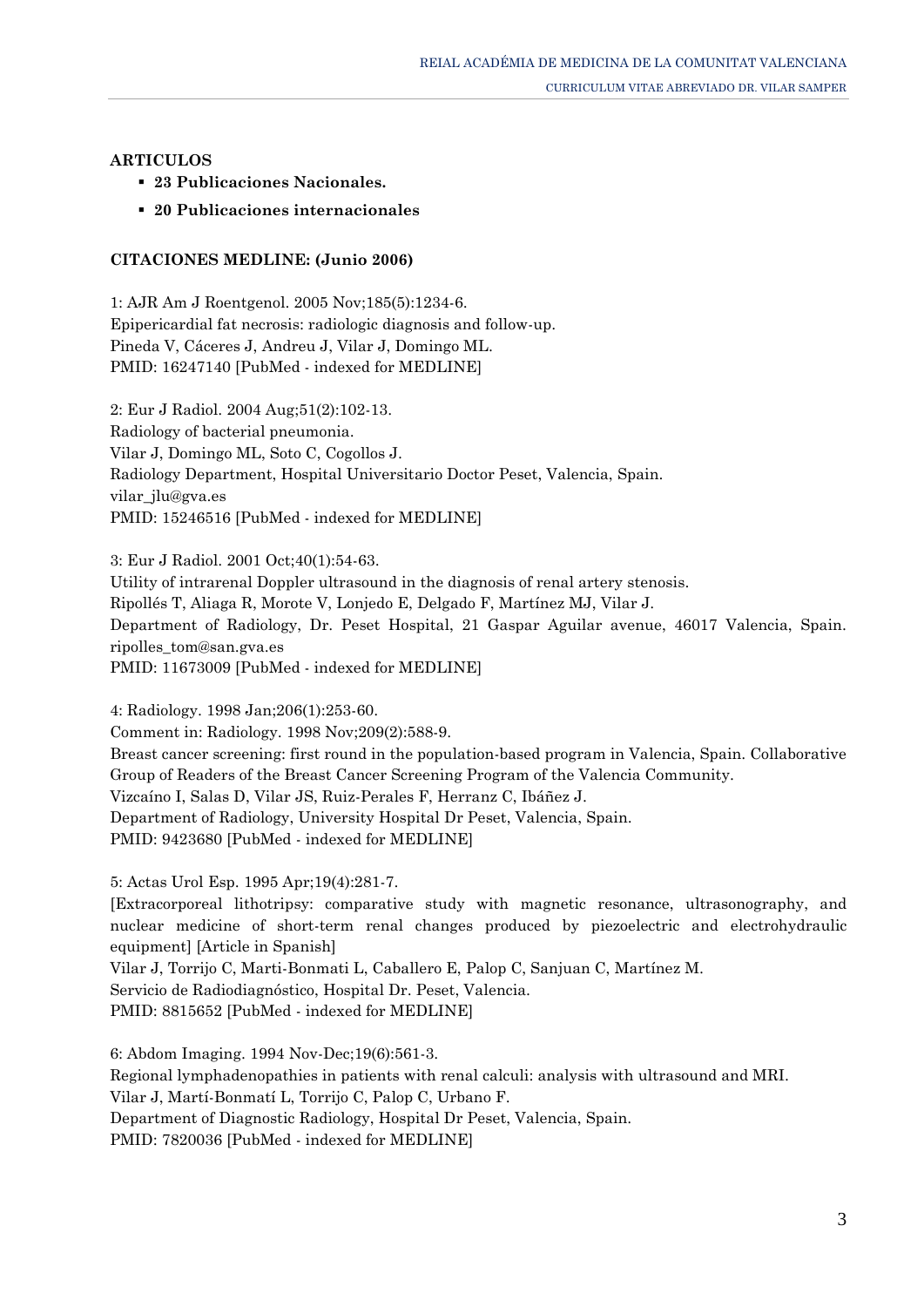## **ARTICULOS**

- **23 Publicaciones Nacionales.**
- **20 Publicaciones internacionales**

## **CITACIONES MEDLINE: (Junio 2006)**

1: AJR Am J Roentgenol. 2005 Nov;185(5):1234-6. Epipericardial fat necrosis: radiologic diagnosis and follow-up. Pineda V, Cáceres J, Andreu J, Vilar J, Domingo ML. PMID: 16247140 [PubMed - indexed for MEDLINE]

2: Eur J Radiol. 2004 Aug;51(2):102-13. Radiology of bacterial pneumonia. Vilar J, Domingo ML, Soto C, Cogollos J. Radiology Department, Hospital Universitario Doctor Peset, Valencia, Spain. vilar jlu@gva.es PMID: 15246516 [PubMed - indexed for MEDLINE]

3: Eur J Radiol. 2001 Oct;40(1):54-63.

Utility of intrarenal Doppler ultrasound in the diagnosis of renal artery stenosis.

Ripollés T, Aliaga R, Morote V, Lonjedo E, Delgado F, Martínez MJ, Vilar J.

Department of Radiology, Dr. Peset Hospital, 21 Gaspar Aguilar avenue, 46017 Valencia, Spain. ripolles\_tom@san.gva.es

PMID: 11673009 [PubMed - indexed for MEDLINE]

4: Radiology. 1998 Jan;206(1):253-60.

Comment in: Radiology. 1998 Nov;209(2):588-9.

Breast cancer screening: first round in the population-based program in Valencia, Spain. Collaborative Group of Readers of the Breast Cancer Screening Program of the Valencia Community. Vizcaíno I, Salas D, Vilar JS, Ruiz-Perales F, Herranz C, Ibáñez J. Department of Radiology, University Hospital Dr Peset, Valencia, Spain. PMID: 9423680 [PubMed - indexed for MEDLINE]

5: Actas Urol Esp. 1995 Apr;19(4):281-7.

[Extracorporeal lithotripsy: comparative study with magnetic resonance, ultrasonography, and nuclear medicine of short-term renal changes produced by piezoelectric and electrohydraulic equipment] [Article in Spanish]

Vilar J, Torrijo C, Marti-Bonmati L, Caballero E, Palop C, Sanjuan C, Martínez M. Servicio de Radiodiagnóstico, Hospital Dr. Peset, Valencia. PMID: 8815652 [PubMed - indexed for MEDLINE]

6: Abdom Imaging. 1994 Nov-Dec;19(6):561-3. Regional lymphadenopathies in patients with renal calculi: analysis with ultrasound and MRI. Vilar J, Martí-Bonmatí L, Torrijo C, Palop C, Urbano F. Department of Diagnostic Radiology, Hospital Dr Peset, Valencia, Spain. PMID: 7820036 [PubMed - indexed for MEDLINE]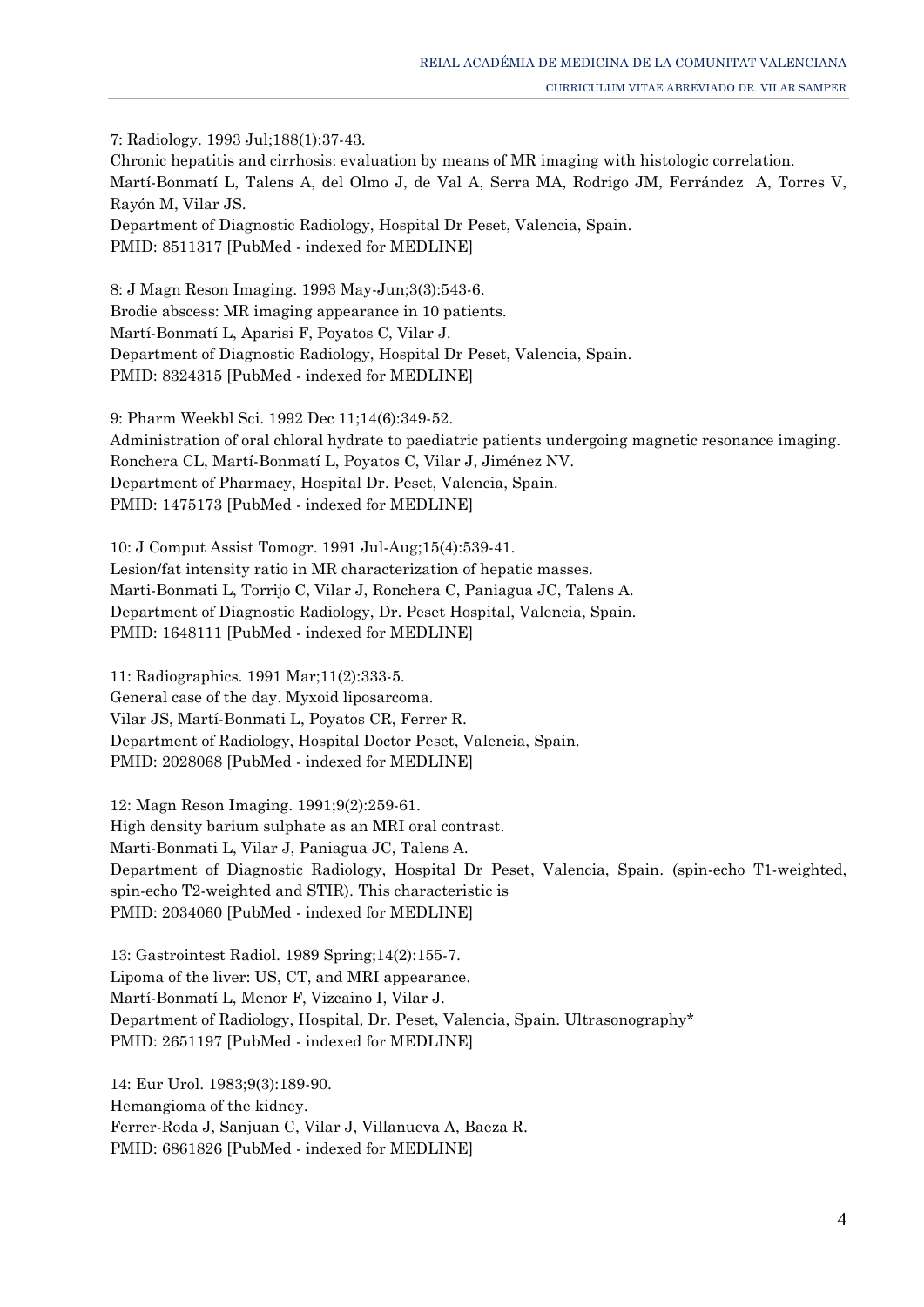7: Radiology. 1993 Jul;188(1):37-43. Chronic hepatitis and cirrhosis: evaluation by means of MR imaging with histologic correlation. Martí-Bonmatí L, Talens A, del Olmo J, de Val A, Serra MA, Rodrigo JM, Ferrández A, Torres V, Rayón M, Vilar JS. Department of Diagnostic Radiology, Hospital Dr Peset, Valencia, Spain. PMID: 8511317 [PubMed - indexed for MEDLINE]

8: J Magn Reson Imaging. 1993 May-Jun;3(3):543-6. Brodie abscess: MR imaging appearance in 10 patients. Martí-Bonmatí L, Aparisi F, Poyatos C, Vilar J. Department of Diagnostic Radiology, Hospital Dr Peset, Valencia, Spain. PMID: 8324315 [PubMed - indexed for MEDLINE]

9: Pharm Weekbl Sci. 1992 Dec 11;14(6):349-52. Administration of oral chloral hydrate to paediatric patients undergoing magnetic resonance imaging. Ronchera CL, Martí-Bonmatí L, Poyatos C, Vilar J, Jiménez NV. Department of Pharmacy, Hospital Dr. Peset, Valencia, Spain. PMID: 1475173 [PubMed - indexed for MEDLINE]

10: J Comput Assist Tomogr. 1991 Jul-Aug;15(4):539-41. Lesion/fat intensity ratio in MR characterization of hepatic masses. Marti-Bonmati L, Torrijo C, Vilar J, Ronchera C, Paniagua JC, Talens A. Department of Diagnostic Radiology, Dr. Peset Hospital, Valencia, Spain. PMID: 1648111 [PubMed - indexed for MEDLINE]

11: Radiographics. 1991 Mar;11(2):333-5. General case of the day. Myxoid liposarcoma. Vilar JS, Martí-Bonmati L, Poyatos CR, Ferrer R. Department of Radiology, Hospital Doctor Peset, Valencia, Spain. PMID: 2028068 [PubMed - indexed for MEDLINE]

12: Magn Reson Imaging. 1991;9(2):259-61. High density barium sulphate as an MRI oral contrast. Marti-Bonmati L, Vilar J, Paniagua JC, Talens A. Department of Diagnostic Radiology, Hospital Dr Peset, Valencia, Spain. (spin-echo T1-weighted, spin-echo T2-weighted and STIR). This characteristic is PMID: 2034060 [PubMed - indexed for MEDLINE]

13: Gastrointest Radiol. 1989 Spring;14(2):155-7. Lipoma of the liver: US, CT, and MRI appearance. Martí-Bonmatí L, Menor F, Vizcaino I, Vilar J. Department of Radiology, Hospital, Dr. Peset, Valencia, Spain. Ultrasonography\* PMID: 2651197 [PubMed - indexed for MEDLINE]

14: Eur Urol. 1983;9(3):189-90. Hemangioma of the kidney. Ferrer-Roda J, Sanjuan C, Vilar J, Villanueva A, Baeza R. PMID: 6861826 [PubMed - indexed for MEDLINE]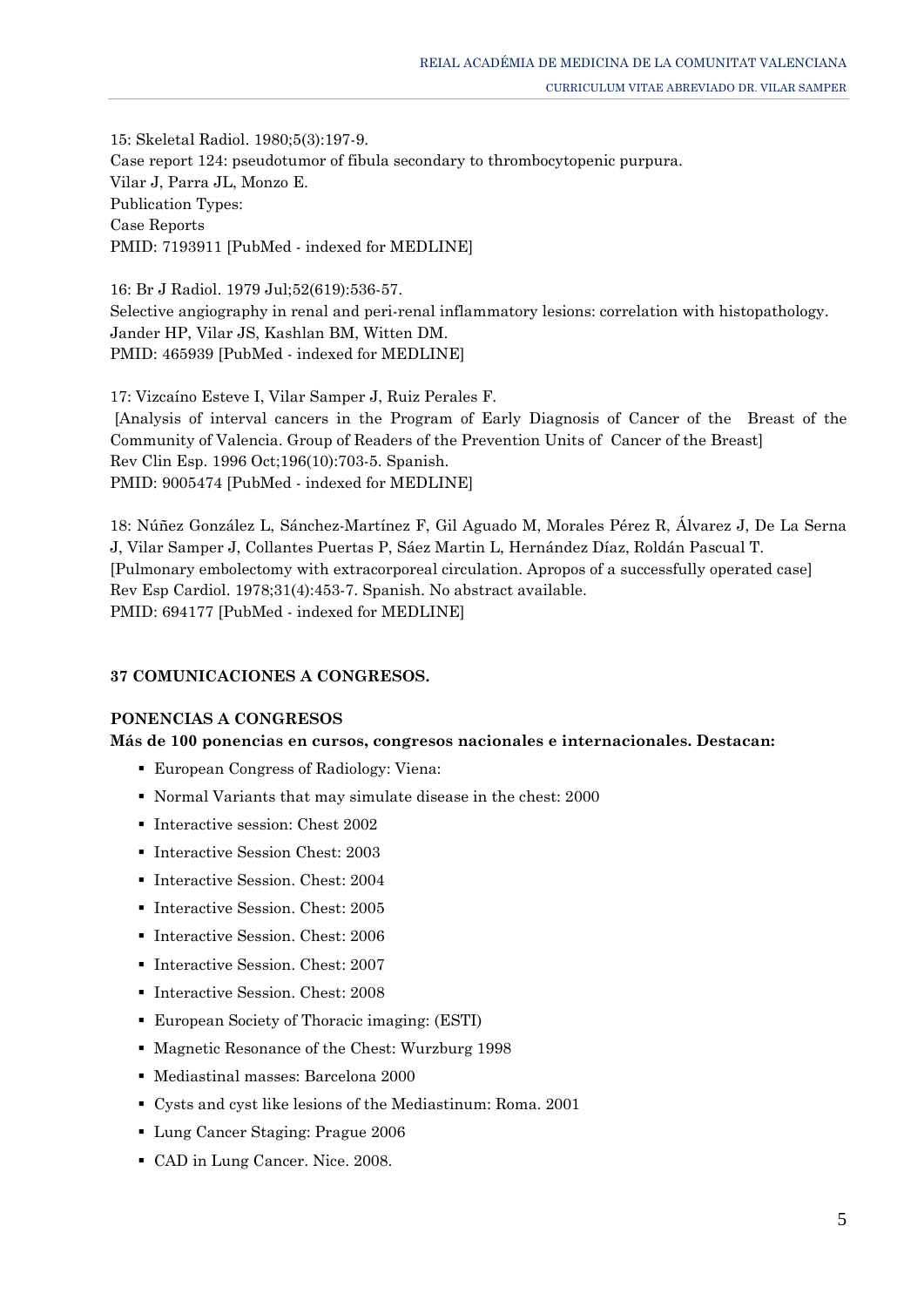15: Skeletal Radiol. 1980;5(3):197-9. Case report 124: pseudotumor of fibula secondary to thrombocytopenic purpura. Vilar J, Parra JL, Monzo E. Publication Types: Case Reports PMID: 7193911 [PubMed - indexed for MEDLINE]

16: Br J Radiol. 1979 Jul;52(619):536-57. Selective angiography in renal and peri-renal inflammatory lesions: correlation with histopathology. Jander HP, Vilar JS, Kashlan BM, Witten DM. PMID: 465939 [PubMed - indexed for MEDLINE]

17: Vizcaíno Esteve I, Vilar Samper J, Ruiz Perales F. [Analysis of interval cancers in the Program of Early Diagnosis of Cancer of the Breast of the Community of Valencia. Group of Readers of the Prevention Units of Cancer of the Breast] Rev Clin Esp. 1996 Oct;196(10):703-5. Spanish. PMID: 9005474 [PubMed - indexed for MEDLINE]

18: Núñez González L, Sánchez-Martínez F, Gil Aguado M, Morales Pérez R, Álvarez J, De La Serna J, Vilar Samper J, Collantes Puertas P, Sáez Martin L, Hernández Díaz, Roldán Pascual T. [Pulmonary embolectomy with extracorporeal circulation. Apropos of a successfully operated case] Rev Esp Cardiol. 1978;31(4):453-7. Spanish. No abstract available. PMID: 694177 [PubMed - indexed for MEDLINE]

## **37 COMUNICACIONES A CONGRESOS.**

## **PONENCIAS A CONGRESOS**

## **Más de 100 ponencias en cursos, congresos nacionales e internacionales. Destacan:**

- European Congress of Radiology: Viena:
- Normal Variants that may simulate disease in the chest: 2000
- Interactive session: Chest 2002
- **Interactive Session Chest: 2003**
- **Interactive Session. Chest: 2004**
- Interactive Session. Chest: 2005
- Interactive Session. Chest: 2006
- **Interactive Session. Chest: 2007**
- **Interactive Session. Chest: 2008**
- European Society of Thoracic imaging: (ESTI)
- Magnetic Resonance of the Chest: Wurzburg 1998
- Mediastinal masses: Barcelona 2000
- Cysts and cyst like lesions of the Mediastinum: Roma. 2001
- Lung Cancer Staging: Prague 2006
- CAD in Lung Cancer. Nice. 2008.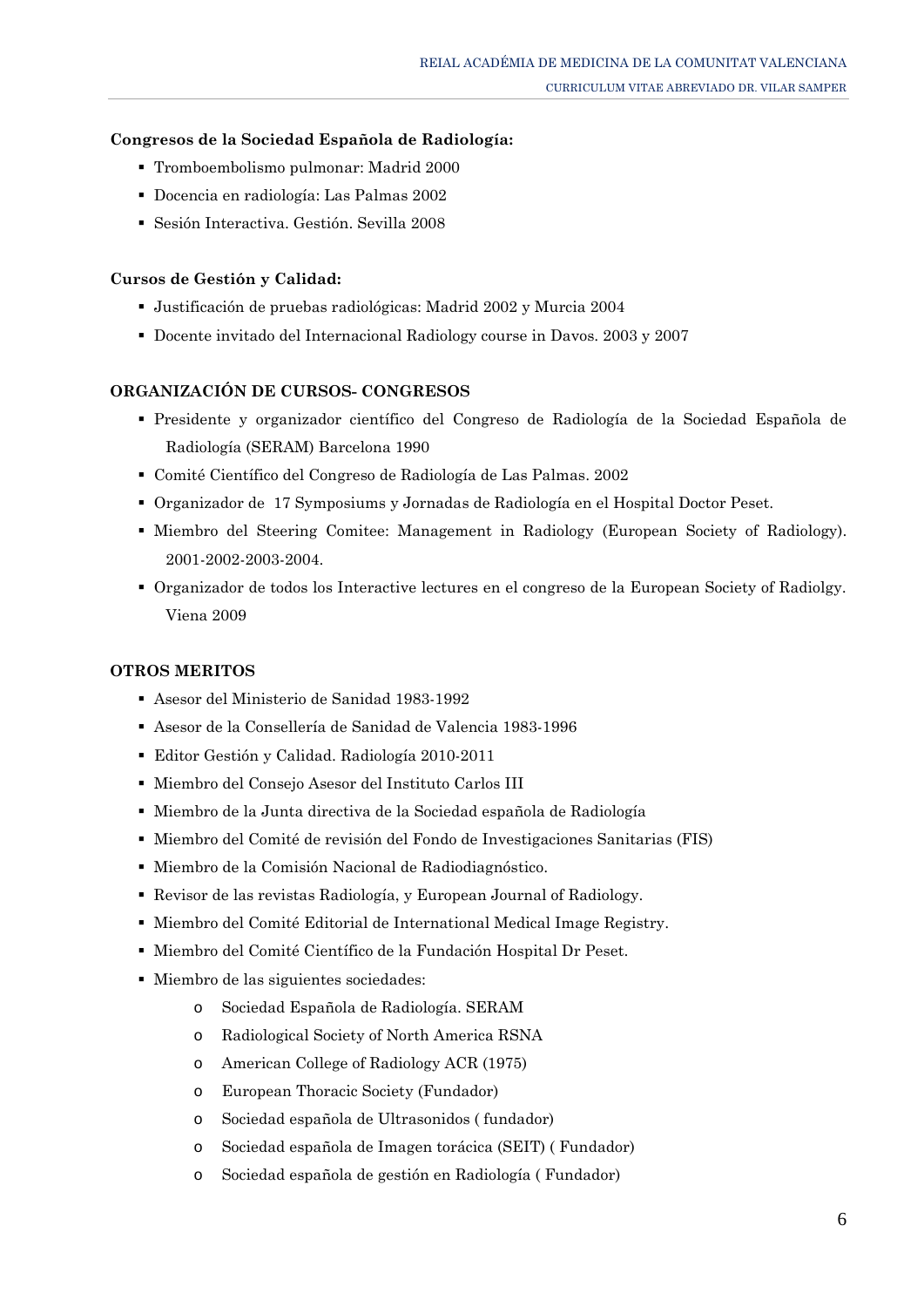### **Congresos de la Sociedad Española de Radiología:**

- Tromboembolismo pulmonar: Madrid 2000
- Docencia en radiología: Las Palmas 2002
- Sesión Interactiva. Gestión. Sevilla 2008

### **Cursos de Gestión y Calidad:**

- Justificación de pruebas radiológicas: Madrid 2002 y Murcia 2004
- Docente invitado del Internacional Radiology course in Davos. 2003 y 2007

### **ORGANIZACIÓN DE CURSOS- CONGRESOS**

- Presidente y organizador científico del Congreso de Radiología de la Sociedad Española de Radiología (SERAM) Barcelona 1990
- Comité Científico del Congreso de Radiología de Las Palmas. 2002
- Organizador de 17 Symposiums y Jornadas de Radiología en el Hospital Doctor Peset.
- Miembro del Steering Comitee: Management in Radiology (European Society of Radiology). 2001-2002-2003-2004.
- Organizador de todos los Interactive lectures en el congreso de la European Society of Radiolgy. Viena 2009

## **OTROS MERITOS**

- Asesor del Ministerio de Sanidad 1983-1992
- Asesor de la Consellería de Sanidad de Valencia 1983-1996
- Editor Gestión y Calidad. Radiología 2010-2011
- Miembro del Consejo Asesor del Instituto Carlos III
- Miembro de la Junta directiva de la Sociedad española de Radiología
- Miembro del Comité de revisión del Fondo de Investigaciones Sanitarias (FIS)
- Miembro de la Comisión Nacional de Radiodiagnóstico.
- Revisor de las revistas Radiología, y European Journal of Radiology.
- Miembro del Comité Editorial de International Medical Image Registry.
- Miembro del Comité Científico de la Fundación Hospital Dr Peset.
- Miembro de las siguientes sociedades:
	- o Sociedad Española de Radiología. SERAM
	- o Radiological Society of North America RSNA
	- o American College of Radiology ACR (1975)
	- o European Thoracic Society (Fundador)
	- o Sociedad española de Ultrasonidos ( fundador)
	- o Sociedad española de Imagen torácica (SEIT) ( Fundador)
	- o Sociedad española de gestión en Radiología ( Fundador)